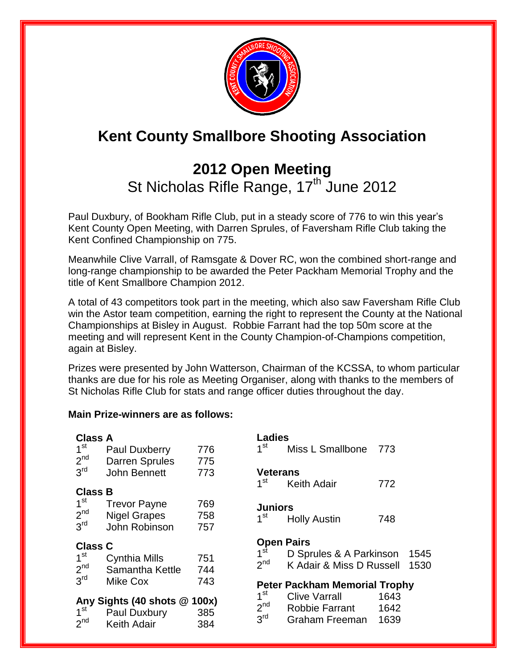

# **Kent County Smallbore Shooting Association**

## **2012 Open Meeting**  St Nicholas Rifle Range, 17<sup>th</sup> June 2012

Paul Duxbury, of Bookham Rifle Club, put in a steady score of 776 to win this year's Kent County Open Meeting, with Darren Sprules, of Faversham Rifle Club taking the Kent Confined Championship on 775.

Meanwhile Clive Varrall, of Ramsgate & Dover RC, won the combined short-range and long-range championship to be awarded the Peter Packham Memorial Trophy and the title of Kent Smallbore Champion 2012.

A total of 43 competitors took part in the meeting, which also saw Faversham Rifle Club win the Astor team competition, earning the right to represent the County at the National Championships at Bisley in August. Robbie Farrant had the top 50m score at the meeting and will represent Kent in the County Champion-of-Champions competition, again at Bisley.

Prizes were presented by John Watterson, Chairman of the KCSSA, to whom particular thanks are due for his role as Meeting Organiser, along with thanks to the members of St Nicholas Rifle Club for stats and range officer duties throughout the day.

#### **Main Prize-winners are as follows:**

| <b>Class A</b><br>1 <sup>st</sup><br>2 <sup>nd</sup>  | Paul Duxberry<br><b>Darren Sprules</b>                      | 776<br>775        | <b>Ladies</b><br>1 <sup>st</sup>   | Miss L Smallbone                                    | 773          |
|-------------------------------------------------------|-------------------------------------------------------------|-------------------|------------------------------------|-----------------------------------------------------|--------------|
| 3 <sup>rd</sup>                                       | John Bennett                                                | 773               | <b>Veterans</b><br>1 <sup>st</sup> | <b>Keith Adair</b>                                  | 772          |
| <b>Class B</b>                                        |                                                             |                   |                                    |                                                     |              |
| 1 <sup>st</sup><br>2 <sup>nd</sup><br>3 <sup>rd</sup> | <b>Trevor Payne</b><br><b>Nigel Grapes</b><br>John Robinson | 769<br>758<br>757 | <b>Juniors</b><br>1 <sup>st</sup>  | <b>Holly Austin</b>                                 | 748          |
|                                                       |                                                             |                   |                                    |                                                     |              |
|                                                       |                                                             |                   | <b>Open Pairs</b>                  |                                                     |              |
| <b>Class C</b><br>1 <sup>st</sup><br>2 <sup>nd</sup>  | Cynthia Mills<br>Samantha Kettle                            | 751<br>744        | 1 <sup>st</sup><br>2 <sup>nd</sup> | D Sprules & A Parkinson<br>K Adair & Miss D Russell | 1545<br>1530 |
| 3 <sup>rd</sup>                                       | Mike Cox                                                    | 743               |                                    | <b>Peter Packham Memorial Trophy</b>                |              |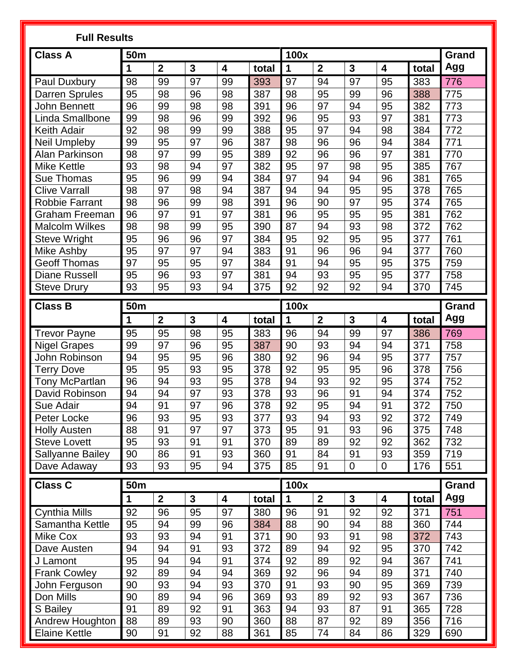| <b>Class A</b><br>100x<br>50m<br>Grand<br>Agg<br>$\mathbf{2}$<br>$\mathbf{3}$<br>$\boldsymbol{2}$<br>$\mathbf{3}$<br>1<br>4<br>1<br>4<br>total<br>total<br>99<br>97<br>97<br>97<br>98<br>99<br>393<br>94<br>95<br>383<br>776<br>Paul Duxbury<br>95<br>98<br>96<br>98<br>387<br>98<br>95<br>99<br>96<br><b>Darren Sprules</b><br>388<br>775<br>96<br>96<br>773<br>99<br>98<br>98<br>391<br>97<br>94<br>95<br>382<br>John Bennett<br>Linda Smallbone<br>99<br>96<br>96<br>93<br>97<br>773<br>98<br>99<br>392<br>95<br>381<br>97<br>92<br>98<br>99<br>388<br>95<br>94<br>772<br><b>Keith Adair</b><br>99<br>384<br>98<br>97<br>771<br>99<br>98<br>96<br>384<br>Neil Umpleby<br>95<br>96<br>387<br>96<br>94<br>92<br>98<br>97<br>99<br>95<br>96<br>96<br>97<br>389<br>381<br>770<br>Alan Parkinson<br>95<br>93<br>98<br>94<br>97<br>382<br>97<br>98<br>767<br><b>Mike Kettle</b><br>95<br>385<br>97<br>765<br>95<br>384<br>94<br>381<br>96<br>99<br>94<br>94<br>96<br>Sue Thomas<br>97<br>98<br><b>Clive Varrall</b><br>98<br>94<br>95<br>765<br>94<br>387<br>94<br>95<br>378<br><b>Robbie Farrant</b><br>98<br>96<br>99<br>98<br>391<br>96<br>97<br>95<br>374<br>765<br>90<br>96<br>97<br>91<br>97<br>96<br>95<br>95<br>762<br>381<br>95<br>381<br>Graham Freeman<br>98<br>98<br>99<br>390<br>87<br>94<br>93<br>98<br>372<br>762<br><b>Malcolm Wilkes</b><br>95<br>96<br>97<br>95<br>377<br>761<br>95<br>96<br>384<br>95<br>92<br>95<br><b>Steve Wright</b><br>95<br>97<br>97<br>91<br>96<br>96<br>760<br>Mike Ashby<br>94<br>383<br>94<br>377<br><b>Geoff Thomas</b><br>97<br>95<br>95<br>97<br>384<br>91<br>94<br>95<br>375<br>759<br>95<br>95<br>95<br>96<br>93<br>97<br>381<br>94<br>93<br>95<br>377<br>758<br><b>Diane Russell</b><br>95<br>93<br>92<br>92<br>92<br>370<br>745<br><b>Steve Drury</b><br>93<br>94<br>375<br>94<br><b>Class B</b><br><b>50m</b><br>100x<br><b>Grand</b><br>$\overline{2}$<br>Agg<br>$\mathbf{3}$<br>$\mathbf{2}$<br>$\mathbf{3}$<br>1<br>$\overline{\mathbf{4}}$<br>total<br>total<br>1<br>4<br>95<br>98<br>383<br>96<br>94<br>99<br>769<br><b>Trevor Payne</b><br>95<br>95<br>97<br>386<br>758<br>99<br>97<br>96<br>95<br>90<br>94<br>371<br><b>Nigel Grapes</b><br>387<br>93<br>94<br>96<br>John Robinson<br>94<br>95<br>95<br>96<br>380<br>92<br>94<br>95<br>377<br>757<br>95<br>93<br>378<br>92<br>95<br>378<br>756<br><b>Terry Dove</b><br>95<br>95<br>95<br>96<br>96<br>94<br>93<br>94<br>92<br>752<br>95<br>378<br>93<br>95<br>374<br><b>Tony McPartlan</b><br>94<br>96<br>David Robinson<br>94<br>97<br>93<br>378<br>93<br>91<br>374<br>752<br>94<br>94<br>91<br>97<br>96<br>94<br>91<br>372<br>378<br>92<br>95<br>750<br>Sue Adair<br>96<br>93<br>95<br>93<br>93<br>93<br>749<br>377<br>94<br>92<br>372<br>Peter Locke<br>91<br>97<br>88<br>97<br>373<br>95<br>91<br>93<br>96<br>375<br>748<br><b>Holly Austen</b><br>95<br>91<br>89<br>92<br>92<br>93<br>91<br>370<br>89<br>362<br>732<br><b>Steve Lovett</b><br>86<br>Sallyanne Bailey<br>90<br>91<br>93<br>360<br>91<br>84<br>91<br>359<br>719<br>93<br>95<br>93<br>93<br>375<br>85<br>$\overline{0}$<br>94<br>91<br>0<br>176<br>551<br>Dave Adaway<br><b>Class C</b><br><b>50m</b><br>100x<br><b>Grand</b><br>$\overline{2}$<br>$\overline{2}$<br>Agg<br>$\mathbf{3}$<br>$\mathbf{3}$<br>$\mathbf 1$<br>4<br>total<br>1<br>4<br>total<br>92<br>96<br>97<br>380<br>96<br>91<br>92<br>92<br>371<br>751<br><b>Cynthia Mills</b><br>95<br>95<br>94<br>Samantha Kettle<br>99<br>88<br>90<br>94<br>744<br>96<br>384<br>88<br>360 | <b>Full Results</b> |  |  |  |  |  |  |  |  |  |  |  |
|-------------------------------------------------------------------------------------------------------------------------------------------------------------------------------------------------------------------------------------------------------------------------------------------------------------------------------------------------------------------------------------------------------------------------------------------------------------------------------------------------------------------------------------------------------------------------------------------------------------------------------------------------------------------------------------------------------------------------------------------------------------------------------------------------------------------------------------------------------------------------------------------------------------------------------------------------------------------------------------------------------------------------------------------------------------------------------------------------------------------------------------------------------------------------------------------------------------------------------------------------------------------------------------------------------------------------------------------------------------------------------------------------------------------------------------------------------------------------------------------------------------------------------------------------------------------------------------------------------------------------------------------------------------------------------------------------------------------------------------------------------------------------------------------------------------------------------------------------------------------------------------------------------------------------------------------------------------------------------------------------------------------------------------------------------------------------------------------------------------------------------------------------------------------------------------------------------------------------------------------------------------------------------------------------------------------------------------------------------------------------------------------------------------------------------------------------------------------------------------------------------------------------------------------------------------------------------------------------------------------------------------------------------------------------------------------------------------------------------------------------------------------------------------------------------------------------------------------------------------------------------------------------------------------------------------------------------------------------------------------------------------------------------------------------------------------------------------------------------------------------------------------------------------------------------------------------------------------------------------------------------------------------------------------------------------------------------------------------------------------------------------------------------------------------------------------------------------------------------------------------------------------------|---------------------|--|--|--|--|--|--|--|--|--|--|--|
|                                                                                                                                                                                                                                                                                                                                                                                                                                                                                                                                                                                                                                                                                                                                                                                                                                                                                                                                                                                                                                                                                                                                                                                                                                                                                                                                                                                                                                                                                                                                                                                                                                                                                                                                                                                                                                                                                                                                                                                                                                                                                                                                                                                                                                                                                                                                                                                                                                                                                                                                                                                                                                                                                                                                                                                                                                                                                                                                                                                                                                                                                                                                                                                                                                                                                                                                                                                                                                                                                                                         |                     |  |  |  |  |  |  |  |  |  |  |  |
|                                                                                                                                                                                                                                                                                                                                                                                                                                                                                                                                                                                                                                                                                                                                                                                                                                                                                                                                                                                                                                                                                                                                                                                                                                                                                                                                                                                                                                                                                                                                                                                                                                                                                                                                                                                                                                                                                                                                                                                                                                                                                                                                                                                                                                                                                                                                                                                                                                                                                                                                                                                                                                                                                                                                                                                                                                                                                                                                                                                                                                                                                                                                                                                                                                                                                                                                                                                                                                                                                                                         |                     |  |  |  |  |  |  |  |  |  |  |  |
|                                                                                                                                                                                                                                                                                                                                                                                                                                                                                                                                                                                                                                                                                                                                                                                                                                                                                                                                                                                                                                                                                                                                                                                                                                                                                                                                                                                                                                                                                                                                                                                                                                                                                                                                                                                                                                                                                                                                                                                                                                                                                                                                                                                                                                                                                                                                                                                                                                                                                                                                                                                                                                                                                                                                                                                                                                                                                                                                                                                                                                                                                                                                                                                                                                                                                                                                                                                                                                                                                                                         |                     |  |  |  |  |  |  |  |  |  |  |  |
|                                                                                                                                                                                                                                                                                                                                                                                                                                                                                                                                                                                                                                                                                                                                                                                                                                                                                                                                                                                                                                                                                                                                                                                                                                                                                                                                                                                                                                                                                                                                                                                                                                                                                                                                                                                                                                                                                                                                                                                                                                                                                                                                                                                                                                                                                                                                                                                                                                                                                                                                                                                                                                                                                                                                                                                                                                                                                                                                                                                                                                                                                                                                                                                                                                                                                                                                                                                                                                                                                                                         |                     |  |  |  |  |  |  |  |  |  |  |  |
|                                                                                                                                                                                                                                                                                                                                                                                                                                                                                                                                                                                                                                                                                                                                                                                                                                                                                                                                                                                                                                                                                                                                                                                                                                                                                                                                                                                                                                                                                                                                                                                                                                                                                                                                                                                                                                                                                                                                                                                                                                                                                                                                                                                                                                                                                                                                                                                                                                                                                                                                                                                                                                                                                                                                                                                                                                                                                                                                                                                                                                                                                                                                                                                                                                                                                                                                                                                                                                                                                                                         |                     |  |  |  |  |  |  |  |  |  |  |  |
|                                                                                                                                                                                                                                                                                                                                                                                                                                                                                                                                                                                                                                                                                                                                                                                                                                                                                                                                                                                                                                                                                                                                                                                                                                                                                                                                                                                                                                                                                                                                                                                                                                                                                                                                                                                                                                                                                                                                                                                                                                                                                                                                                                                                                                                                                                                                                                                                                                                                                                                                                                                                                                                                                                                                                                                                                                                                                                                                                                                                                                                                                                                                                                                                                                                                                                                                                                                                                                                                                                                         |                     |  |  |  |  |  |  |  |  |  |  |  |
|                                                                                                                                                                                                                                                                                                                                                                                                                                                                                                                                                                                                                                                                                                                                                                                                                                                                                                                                                                                                                                                                                                                                                                                                                                                                                                                                                                                                                                                                                                                                                                                                                                                                                                                                                                                                                                                                                                                                                                                                                                                                                                                                                                                                                                                                                                                                                                                                                                                                                                                                                                                                                                                                                                                                                                                                                                                                                                                                                                                                                                                                                                                                                                                                                                                                                                                                                                                                                                                                                                                         |                     |  |  |  |  |  |  |  |  |  |  |  |
|                                                                                                                                                                                                                                                                                                                                                                                                                                                                                                                                                                                                                                                                                                                                                                                                                                                                                                                                                                                                                                                                                                                                                                                                                                                                                                                                                                                                                                                                                                                                                                                                                                                                                                                                                                                                                                                                                                                                                                                                                                                                                                                                                                                                                                                                                                                                                                                                                                                                                                                                                                                                                                                                                                                                                                                                                                                                                                                                                                                                                                                                                                                                                                                                                                                                                                                                                                                                                                                                                                                         |                     |  |  |  |  |  |  |  |  |  |  |  |
|                                                                                                                                                                                                                                                                                                                                                                                                                                                                                                                                                                                                                                                                                                                                                                                                                                                                                                                                                                                                                                                                                                                                                                                                                                                                                                                                                                                                                                                                                                                                                                                                                                                                                                                                                                                                                                                                                                                                                                                                                                                                                                                                                                                                                                                                                                                                                                                                                                                                                                                                                                                                                                                                                                                                                                                                                                                                                                                                                                                                                                                                                                                                                                                                                                                                                                                                                                                                                                                                                                                         |                     |  |  |  |  |  |  |  |  |  |  |  |
|                                                                                                                                                                                                                                                                                                                                                                                                                                                                                                                                                                                                                                                                                                                                                                                                                                                                                                                                                                                                                                                                                                                                                                                                                                                                                                                                                                                                                                                                                                                                                                                                                                                                                                                                                                                                                                                                                                                                                                                                                                                                                                                                                                                                                                                                                                                                                                                                                                                                                                                                                                                                                                                                                                                                                                                                                                                                                                                                                                                                                                                                                                                                                                                                                                                                                                                                                                                                                                                                                                                         |                     |  |  |  |  |  |  |  |  |  |  |  |
|                                                                                                                                                                                                                                                                                                                                                                                                                                                                                                                                                                                                                                                                                                                                                                                                                                                                                                                                                                                                                                                                                                                                                                                                                                                                                                                                                                                                                                                                                                                                                                                                                                                                                                                                                                                                                                                                                                                                                                                                                                                                                                                                                                                                                                                                                                                                                                                                                                                                                                                                                                                                                                                                                                                                                                                                                                                                                                                                                                                                                                                                                                                                                                                                                                                                                                                                                                                                                                                                                                                         |                     |  |  |  |  |  |  |  |  |  |  |  |
|                                                                                                                                                                                                                                                                                                                                                                                                                                                                                                                                                                                                                                                                                                                                                                                                                                                                                                                                                                                                                                                                                                                                                                                                                                                                                                                                                                                                                                                                                                                                                                                                                                                                                                                                                                                                                                                                                                                                                                                                                                                                                                                                                                                                                                                                                                                                                                                                                                                                                                                                                                                                                                                                                                                                                                                                                                                                                                                                                                                                                                                                                                                                                                                                                                                                                                                                                                                                                                                                                                                         |                     |  |  |  |  |  |  |  |  |  |  |  |
|                                                                                                                                                                                                                                                                                                                                                                                                                                                                                                                                                                                                                                                                                                                                                                                                                                                                                                                                                                                                                                                                                                                                                                                                                                                                                                                                                                                                                                                                                                                                                                                                                                                                                                                                                                                                                                                                                                                                                                                                                                                                                                                                                                                                                                                                                                                                                                                                                                                                                                                                                                                                                                                                                                                                                                                                                                                                                                                                                                                                                                                                                                                                                                                                                                                                                                                                                                                                                                                                                                                         |                     |  |  |  |  |  |  |  |  |  |  |  |
|                                                                                                                                                                                                                                                                                                                                                                                                                                                                                                                                                                                                                                                                                                                                                                                                                                                                                                                                                                                                                                                                                                                                                                                                                                                                                                                                                                                                                                                                                                                                                                                                                                                                                                                                                                                                                                                                                                                                                                                                                                                                                                                                                                                                                                                                                                                                                                                                                                                                                                                                                                                                                                                                                                                                                                                                                                                                                                                                                                                                                                                                                                                                                                                                                                                                                                                                                                                                                                                                                                                         |                     |  |  |  |  |  |  |  |  |  |  |  |
|                                                                                                                                                                                                                                                                                                                                                                                                                                                                                                                                                                                                                                                                                                                                                                                                                                                                                                                                                                                                                                                                                                                                                                                                                                                                                                                                                                                                                                                                                                                                                                                                                                                                                                                                                                                                                                                                                                                                                                                                                                                                                                                                                                                                                                                                                                                                                                                                                                                                                                                                                                                                                                                                                                                                                                                                                                                                                                                                                                                                                                                                                                                                                                                                                                                                                                                                                                                                                                                                                                                         |                     |  |  |  |  |  |  |  |  |  |  |  |
|                                                                                                                                                                                                                                                                                                                                                                                                                                                                                                                                                                                                                                                                                                                                                                                                                                                                                                                                                                                                                                                                                                                                                                                                                                                                                                                                                                                                                                                                                                                                                                                                                                                                                                                                                                                                                                                                                                                                                                                                                                                                                                                                                                                                                                                                                                                                                                                                                                                                                                                                                                                                                                                                                                                                                                                                                                                                                                                                                                                                                                                                                                                                                                                                                                                                                                                                                                                                                                                                                                                         |                     |  |  |  |  |  |  |  |  |  |  |  |
|                                                                                                                                                                                                                                                                                                                                                                                                                                                                                                                                                                                                                                                                                                                                                                                                                                                                                                                                                                                                                                                                                                                                                                                                                                                                                                                                                                                                                                                                                                                                                                                                                                                                                                                                                                                                                                                                                                                                                                                                                                                                                                                                                                                                                                                                                                                                                                                                                                                                                                                                                                                                                                                                                                                                                                                                                                                                                                                                                                                                                                                                                                                                                                                                                                                                                                                                                                                                                                                                                                                         |                     |  |  |  |  |  |  |  |  |  |  |  |
|                                                                                                                                                                                                                                                                                                                                                                                                                                                                                                                                                                                                                                                                                                                                                                                                                                                                                                                                                                                                                                                                                                                                                                                                                                                                                                                                                                                                                                                                                                                                                                                                                                                                                                                                                                                                                                                                                                                                                                                                                                                                                                                                                                                                                                                                                                                                                                                                                                                                                                                                                                                                                                                                                                                                                                                                                                                                                                                                                                                                                                                                                                                                                                                                                                                                                                                                                                                                                                                                                                                         |                     |  |  |  |  |  |  |  |  |  |  |  |
|                                                                                                                                                                                                                                                                                                                                                                                                                                                                                                                                                                                                                                                                                                                                                                                                                                                                                                                                                                                                                                                                                                                                                                                                                                                                                                                                                                                                                                                                                                                                                                                                                                                                                                                                                                                                                                                                                                                                                                                                                                                                                                                                                                                                                                                                                                                                                                                                                                                                                                                                                                                                                                                                                                                                                                                                                                                                                                                                                                                                                                                                                                                                                                                                                                                                                                                                                                                                                                                                                                                         |                     |  |  |  |  |  |  |  |  |  |  |  |
|                                                                                                                                                                                                                                                                                                                                                                                                                                                                                                                                                                                                                                                                                                                                                                                                                                                                                                                                                                                                                                                                                                                                                                                                                                                                                                                                                                                                                                                                                                                                                                                                                                                                                                                                                                                                                                                                                                                                                                                                                                                                                                                                                                                                                                                                                                                                                                                                                                                                                                                                                                                                                                                                                                                                                                                                                                                                                                                                                                                                                                                                                                                                                                                                                                                                                                                                                                                                                                                                                                                         |                     |  |  |  |  |  |  |  |  |  |  |  |
|                                                                                                                                                                                                                                                                                                                                                                                                                                                                                                                                                                                                                                                                                                                                                                                                                                                                                                                                                                                                                                                                                                                                                                                                                                                                                                                                                                                                                                                                                                                                                                                                                                                                                                                                                                                                                                                                                                                                                                                                                                                                                                                                                                                                                                                                                                                                                                                                                                                                                                                                                                                                                                                                                                                                                                                                                                                                                                                                                                                                                                                                                                                                                                                                                                                                                                                                                                                                                                                                                                                         |                     |  |  |  |  |  |  |  |  |  |  |  |
|                                                                                                                                                                                                                                                                                                                                                                                                                                                                                                                                                                                                                                                                                                                                                                                                                                                                                                                                                                                                                                                                                                                                                                                                                                                                                                                                                                                                                                                                                                                                                                                                                                                                                                                                                                                                                                                                                                                                                                                                                                                                                                                                                                                                                                                                                                                                                                                                                                                                                                                                                                                                                                                                                                                                                                                                                                                                                                                                                                                                                                                                                                                                                                                                                                                                                                                                                                                                                                                                                                                         |                     |  |  |  |  |  |  |  |  |  |  |  |
|                                                                                                                                                                                                                                                                                                                                                                                                                                                                                                                                                                                                                                                                                                                                                                                                                                                                                                                                                                                                                                                                                                                                                                                                                                                                                                                                                                                                                                                                                                                                                                                                                                                                                                                                                                                                                                                                                                                                                                                                                                                                                                                                                                                                                                                                                                                                                                                                                                                                                                                                                                                                                                                                                                                                                                                                                                                                                                                                                                                                                                                                                                                                                                                                                                                                                                                                                                                                                                                                                                                         |                     |  |  |  |  |  |  |  |  |  |  |  |
|                                                                                                                                                                                                                                                                                                                                                                                                                                                                                                                                                                                                                                                                                                                                                                                                                                                                                                                                                                                                                                                                                                                                                                                                                                                                                                                                                                                                                                                                                                                                                                                                                                                                                                                                                                                                                                                                                                                                                                                                                                                                                                                                                                                                                                                                                                                                                                                                                                                                                                                                                                                                                                                                                                                                                                                                                                                                                                                                                                                                                                                                                                                                                                                                                                                                                                                                                                                                                                                                                                                         |                     |  |  |  |  |  |  |  |  |  |  |  |
|                                                                                                                                                                                                                                                                                                                                                                                                                                                                                                                                                                                                                                                                                                                                                                                                                                                                                                                                                                                                                                                                                                                                                                                                                                                                                                                                                                                                                                                                                                                                                                                                                                                                                                                                                                                                                                                                                                                                                                                                                                                                                                                                                                                                                                                                                                                                                                                                                                                                                                                                                                                                                                                                                                                                                                                                                                                                                                                                                                                                                                                                                                                                                                                                                                                                                                                                                                                                                                                                                                                         |                     |  |  |  |  |  |  |  |  |  |  |  |
|                                                                                                                                                                                                                                                                                                                                                                                                                                                                                                                                                                                                                                                                                                                                                                                                                                                                                                                                                                                                                                                                                                                                                                                                                                                                                                                                                                                                                                                                                                                                                                                                                                                                                                                                                                                                                                                                                                                                                                                                                                                                                                                                                                                                                                                                                                                                                                                                                                                                                                                                                                                                                                                                                                                                                                                                                                                                                                                                                                                                                                                                                                                                                                                                                                                                                                                                                                                                                                                                                                                         |                     |  |  |  |  |  |  |  |  |  |  |  |
|                                                                                                                                                                                                                                                                                                                                                                                                                                                                                                                                                                                                                                                                                                                                                                                                                                                                                                                                                                                                                                                                                                                                                                                                                                                                                                                                                                                                                                                                                                                                                                                                                                                                                                                                                                                                                                                                                                                                                                                                                                                                                                                                                                                                                                                                                                                                                                                                                                                                                                                                                                                                                                                                                                                                                                                                                                                                                                                                                                                                                                                                                                                                                                                                                                                                                                                                                                                                                                                                                                                         |                     |  |  |  |  |  |  |  |  |  |  |  |
|                                                                                                                                                                                                                                                                                                                                                                                                                                                                                                                                                                                                                                                                                                                                                                                                                                                                                                                                                                                                                                                                                                                                                                                                                                                                                                                                                                                                                                                                                                                                                                                                                                                                                                                                                                                                                                                                                                                                                                                                                                                                                                                                                                                                                                                                                                                                                                                                                                                                                                                                                                                                                                                                                                                                                                                                                                                                                                                                                                                                                                                                                                                                                                                                                                                                                                                                                                                                                                                                                                                         |                     |  |  |  |  |  |  |  |  |  |  |  |
|                                                                                                                                                                                                                                                                                                                                                                                                                                                                                                                                                                                                                                                                                                                                                                                                                                                                                                                                                                                                                                                                                                                                                                                                                                                                                                                                                                                                                                                                                                                                                                                                                                                                                                                                                                                                                                                                                                                                                                                                                                                                                                                                                                                                                                                                                                                                                                                                                                                                                                                                                                                                                                                                                                                                                                                                                                                                                                                                                                                                                                                                                                                                                                                                                                                                                                                                                                                                                                                                                                                         |                     |  |  |  |  |  |  |  |  |  |  |  |
|                                                                                                                                                                                                                                                                                                                                                                                                                                                                                                                                                                                                                                                                                                                                                                                                                                                                                                                                                                                                                                                                                                                                                                                                                                                                                                                                                                                                                                                                                                                                                                                                                                                                                                                                                                                                                                                                                                                                                                                                                                                                                                                                                                                                                                                                                                                                                                                                                                                                                                                                                                                                                                                                                                                                                                                                                                                                                                                                                                                                                                                                                                                                                                                                                                                                                                                                                                                                                                                                                                                         |                     |  |  |  |  |  |  |  |  |  |  |  |
|                                                                                                                                                                                                                                                                                                                                                                                                                                                                                                                                                                                                                                                                                                                                                                                                                                                                                                                                                                                                                                                                                                                                                                                                                                                                                                                                                                                                                                                                                                                                                                                                                                                                                                                                                                                                                                                                                                                                                                                                                                                                                                                                                                                                                                                                                                                                                                                                                                                                                                                                                                                                                                                                                                                                                                                                                                                                                                                                                                                                                                                                                                                                                                                                                                                                                                                                                                                                                                                                                                                         |                     |  |  |  |  |  |  |  |  |  |  |  |
|                                                                                                                                                                                                                                                                                                                                                                                                                                                                                                                                                                                                                                                                                                                                                                                                                                                                                                                                                                                                                                                                                                                                                                                                                                                                                                                                                                                                                                                                                                                                                                                                                                                                                                                                                                                                                                                                                                                                                                                                                                                                                                                                                                                                                                                                                                                                                                                                                                                                                                                                                                                                                                                                                                                                                                                                                                                                                                                                                                                                                                                                                                                                                                                                                                                                                                                                                                                                                                                                                                                         |                     |  |  |  |  |  |  |  |  |  |  |  |
|                                                                                                                                                                                                                                                                                                                                                                                                                                                                                                                                                                                                                                                                                                                                                                                                                                                                                                                                                                                                                                                                                                                                                                                                                                                                                                                                                                                                                                                                                                                                                                                                                                                                                                                                                                                                                                                                                                                                                                                                                                                                                                                                                                                                                                                                                                                                                                                                                                                                                                                                                                                                                                                                                                                                                                                                                                                                                                                                                                                                                                                                                                                                                                                                                                                                                                                                                                                                                                                                                                                         |                     |  |  |  |  |  |  |  |  |  |  |  |
|                                                                                                                                                                                                                                                                                                                                                                                                                                                                                                                                                                                                                                                                                                                                                                                                                                                                                                                                                                                                                                                                                                                                                                                                                                                                                                                                                                                                                                                                                                                                                                                                                                                                                                                                                                                                                                                                                                                                                                                                                                                                                                                                                                                                                                                                                                                                                                                                                                                                                                                                                                                                                                                                                                                                                                                                                                                                                                                                                                                                                                                                                                                                                                                                                                                                                                                                                                                                                                                                                                                         |                     |  |  |  |  |  |  |  |  |  |  |  |
|                                                                                                                                                                                                                                                                                                                                                                                                                                                                                                                                                                                                                                                                                                                                                                                                                                                                                                                                                                                                                                                                                                                                                                                                                                                                                                                                                                                                                                                                                                                                                                                                                                                                                                                                                                                                                                                                                                                                                                                                                                                                                                                                                                                                                                                                                                                                                                                                                                                                                                                                                                                                                                                                                                                                                                                                                                                                                                                                                                                                                                                                                                                                                                                                                                                                                                                                                                                                                                                                                                                         |                     |  |  |  |  |  |  |  |  |  |  |  |
|                                                                                                                                                                                                                                                                                                                                                                                                                                                                                                                                                                                                                                                                                                                                                                                                                                                                                                                                                                                                                                                                                                                                                                                                                                                                                                                                                                                                                                                                                                                                                                                                                                                                                                                                                                                                                                                                                                                                                                                                                                                                                                                                                                                                                                                                                                                                                                                                                                                                                                                                                                                                                                                                                                                                                                                                                                                                                                                                                                                                                                                                                                                                                                                                                                                                                                                                                                                                                                                                                                                         |                     |  |  |  |  |  |  |  |  |  |  |  |
|                                                                                                                                                                                                                                                                                                                                                                                                                                                                                                                                                                                                                                                                                                                                                                                                                                                                                                                                                                                                                                                                                                                                                                                                                                                                                                                                                                                                                                                                                                                                                                                                                                                                                                                                                                                                                                                                                                                                                                                                                                                                                                                                                                                                                                                                                                                                                                                                                                                                                                                                                                                                                                                                                                                                                                                                                                                                                                                                                                                                                                                                                                                                                                                                                                                                                                                                                                                                                                                                                                                         |                     |  |  |  |  |  |  |  |  |  |  |  |
|                                                                                                                                                                                                                                                                                                                                                                                                                                                                                                                                                                                                                                                                                                                                                                                                                                                                                                                                                                                                                                                                                                                                                                                                                                                                                                                                                                                                                                                                                                                                                                                                                                                                                                                                                                                                                                                                                                                                                                                                                                                                                                                                                                                                                                                                                                                                                                                                                                                                                                                                                                                                                                                                                                                                                                                                                                                                                                                                                                                                                                                                                                                                                                                                                                                                                                                                                                                                                                                                                                                         |                     |  |  |  |  |  |  |  |  |  |  |  |
|                                                                                                                                                                                                                                                                                                                                                                                                                                                                                                                                                                                                                                                                                                                                                                                                                                                                                                                                                                                                                                                                                                                                                                                                                                                                                                                                                                                                                                                                                                                                                                                                                                                                                                                                                                                                                                                                                                                                                                                                                                                                                                                                                                                                                                                                                                                                                                                                                                                                                                                                                                                                                                                                                                                                                                                                                                                                                                                                                                                                                                                                                                                                                                                                                                                                                                                                                                                                                                                                                                                         |                     |  |  |  |  |  |  |  |  |  |  |  |
| 93<br>93<br>743<br>Mike Cox<br>94<br>91<br>371<br>90<br>93<br>91<br>98<br>372                                                                                                                                                                                                                                                                                                                                                                                                                                                                                                                                                                                                                                                                                                                                                                                                                                                                                                                                                                                                                                                                                                                                                                                                                                                                                                                                                                                                                                                                                                                                                                                                                                                                                                                                                                                                                                                                                                                                                                                                                                                                                                                                                                                                                                                                                                                                                                                                                                                                                                                                                                                                                                                                                                                                                                                                                                                                                                                                                                                                                                                                                                                                                                                                                                                                                                                                                                                                                                           |                     |  |  |  |  |  |  |  |  |  |  |  |
| 94<br>94<br>91<br>93<br>92<br>372<br>89<br>94<br>95<br>370<br>742<br>Dave Austen                                                                                                                                                                                                                                                                                                                                                                                                                                                                                                                                                                                                                                                                                                                                                                                                                                                                                                                                                                                                                                                                                                                                                                                                                                                                                                                                                                                                                                                                                                                                                                                                                                                                                                                                                                                                                                                                                                                                                                                                                                                                                                                                                                                                                                                                                                                                                                                                                                                                                                                                                                                                                                                                                                                                                                                                                                                                                                                                                                                                                                                                                                                                                                                                                                                                                                                                                                                                                                        |                     |  |  |  |  |  |  |  |  |  |  |  |
| 95<br>94<br>94<br>374<br>92<br>89<br>92<br>367<br>91<br>94<br>741<br>J Lamont                                                                                                                                                                                                                                                                                                                                                                                                                                                                                                                                                                                                                                                                                                                                                                                                                                                                                                                                                                                                                                                                                                                                                                                                                                                                                                                                                                                                                                                                                                                                                                                                                                                                                                                                                                                                                                                                                                                                                                                                                                                                                                                                                                                                                                                                                                                                                                                                                                                                                                                                                                                                                                                                                                                                                                                                                                                                                                                                                                                                                                                                                                                                                                                                                                                                                                                                                                                                                                           |                     |  |  |  |  |  |  |  |  |  |  |  |
| 92<br>89<br>94<br>94<br>369<br>92<br>94<br>89<br>371<br>740<br><b>Frank Cowley</b><br>96                                                                                                                                                                                                                                                                                                                                                                                                                                                                                                                                                                                                                                                                                                                                                                                                                                                                                                                                                                                                                                                                                                                                                                                                                                                                                                                                                                                                                                                                                                                                                                                                                                                                                                                                                                                                                                                                                                                                                                                                                                                                                                                                                                                                                                                                                                                                                                                                                                                                                                                                                                                                                                                                                                                                                                                                                                                                                                                                                                                                                                                                                                                                                                                                                                                                                                                                                                                                                                |                     |  |  |  |  |  |  |  |  |  |  |  |
| 90<br>93<br>94<br>93<br>91<br>90<br>370<br>93<br>95<br>369<br>739<br>John Ferguson                                                                                                                                                                                                                                                                                                                                                                                                                                                                                                                                                                                                                                                                                                                                                                                                                                                                                                                                                                                                                                                                                                                                                                                                                                                                                                                                                                                                                                                                                                                                                                                                                                                                                                                                                                                                                                                                                                                                                                                                                                                                                                                                                                                                                                                                                                                                                                                                                                                                                                                                                                                                                                                                                                                                                                                                                                                                                                                                                                                                                                                                                                                                                                                                                                                                                                                                                                                                                                      |                     |  |  |  |  |  |  |  |  |  |  |  |
| 90<br>93<br>Don Mills<br>89<br>94<br>96<br>369<br>89<br>92<br>93<br>367<br>736                                                                                                                                                                                                                                                                                                                                                                                                                                                                                                                                                                                                                                                                                                                                                                                                                                                                                                                                                                                                                                                                                                                                                                                                                                                                                                                                                                                                                                                                                                                                                                                                                                                                                                                                                                                                                                                                                                                                                                                                                                                                                                                                                                                                                                                                                                                                                                                                                                                                                                                                                                                                                                                                                                                                                                                                                                                                                                                                                                                                                                                                                                                                                                                                                                                                                                                                                                                                                                          |                     |  |  |  |  |  |  |  |  |  |  |  |
| 91<br>92<br>S Bailey<br>89<br>91<br>363<br>94<br>93<br>87<br>91<br>728<br>365                                                                                                                                                                                                                                                                                                                                                                                                                                                                                                                                                                                                                                                                                                                                                                                                                                                                                                                                                                                                                                                                                                                                                                                                                                                                                                                                                                                                                                                                                                                                                                                                                                                                                                                                                                                                                                                                                                                                                                                                                                                                                                                                                                                                                                                                                                                                                                                                                                                                                                                                                                                                                                                                                                                                                                                                                                                                                                                                                                                                                                                                                                                                                                                                                                                                                                                                                                                                                                           |                     |  |  |  |  |  |  |  |  |  |  |  |
| 89<br>87<br>Andrew Houghton<br>88<br>93<br>360<br>88<br>356<br>716<br>90<br>92<br>89                                                                                                                                                                                                                                                                                                                                                                                                                                                                                                                                                                                                                                                                                                                                                                                                                                                                                                                                                                                                                                                                                                                                                                                                                                                                                                                                                                                                                                                                                                                                                                                                                                                                                                                                                                                                                                                                                                                                                                                                                                                                                                                                                                                                                                                                                                                                                                                                                                                                                                                                                                                                                                                                                                                                                                                                                                                                                                                                                                                                                                                                                                                                                                                                                                                                                                                                                                                                                                    |                     |  |  |  |  |  |  |  |  |  |  |  |
| <b>Elaine Kettle</b><br>91<br>92<br>361<br>90<br>88<br>85<br>74<br>84<br>86<br>329<br>690                                                                                                                                                                                                                                                                                                                                                                                                                                                                                                                                                                                                                                                                                                                                                                                                                                                                                                                                                                                                                                                                                                                                                                                                                                                                                                                                                                                                                                                                                                                                                                                                                                                                                                                                                                                                                                                                                                                                                                                                                                                                                                                                                                                                                                                                                                                                                                                                                                                                                                                                                                                                                                                                                                                                                                                                                                                                                                                                                                                                                                                                                                                                                                                                                                                                                                                                                                                                                               |                     |  |  |  |  |  |  |  |  |  |  |  |